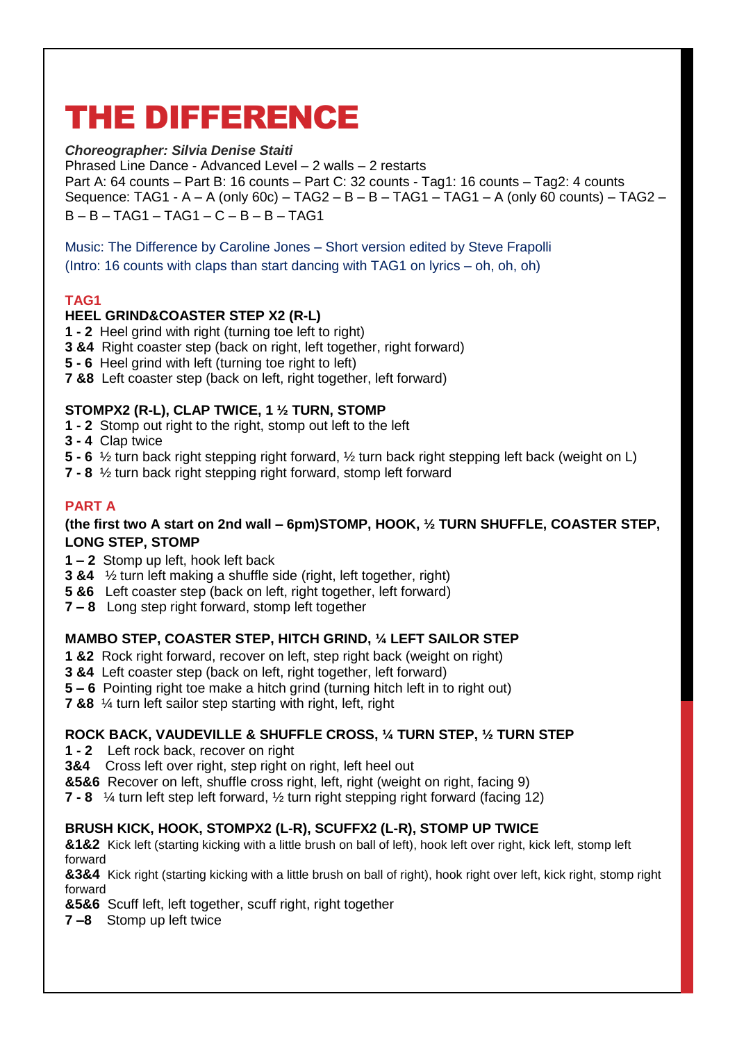# THE DIFFERENCE

# *Choreographer: Silvia Denise Staiti*

Phrased Line Dance - Advanced Level – 2 walls – 2 restarts Part A: 64 counts – Part B: 16 counts – Part C: 32 counts - Tag1: 16 counts – Tag2: 4 counts Sequence: TAG1 - A – A (only 60c) – TAG2 – B – B – TAG1 – TAG1 – A (only 60 counts) – TAG2 – B – B – TAG1 – TAG1 – C – B – B – TAG1

Music: The Difference by Caroline Jones – Short version edited by Steve Frapolli (Intro: 16 counts with claps than start dancing with TAG1 on lyrics – oh, oh, oh)

# **TAG1**

# **HEEL GRIND&COASTER STEP X2 (R-L)**

- **1 - 2** Heel grind with right (turning toe left to right)
- **3 &4** Right coaster step (back on right, left together, right forward)
- **5 - 6** Heel grind with left (turning toe right to left)
- **7 &8** Left coaster step (back on left, right together, left forward)

# **STOMPX2 (R-L), CLAP TWICE, 1 ½ TURN, STOMP**

- **1 - 2** Stomp out right to the right, stomp out left to the left
- **3 - 4** Clap twice
- **5 - 6** ½ turn back right stepping right forward, ½ turn back right stepping left back (weight on L)
- **7 - 8** ½ turn back right stepping right forward, stomp left forward

# **PART A**

## **(the first two A start on 2nd wall – 6pm)STOMP, HOOK, ½ TURN SHUFFLE, COASTER STEP, LONG STEP, STOMP**

- **1 – 2** Stomp up left, hook left back
- **3 &4** ½ turn left making a shuffle side (right, left together, right)
- **5 &6** Left coaster step (back on left, right together, left forward)
- **7 – 8** Long step right forward, stomp left together

# **MAMBO STEP, COASTER STEP, HITCH GRIND, ¼ LEFT SAILOR STEP**

- **1 &2** Rock right forward, recover on left, step right back (weight on right)
- **3 &4** Left coaster step (back on left, right together, left forward)
- **5 – 6** Pointing right toe make a hitch grind (turning hitch left in to right out)
- **7 &8** ¼ turn left sailor step starting with right, left, right

# **ROCK BACK, VAUDEVILLE & SHUFFLE CROSS, ¼ TURN STEP, ½ TURN STEP**

- **1 - 2** Left rock back, recover on right
- **3&4** Cross left over right, step right on right, left heel out
- **&5&6** Recover on left, shuffle cross right, left, right (weight on right, facing 9)
- **7 - 8** ¼ turn left step left forward, ½ turn right stepping right forward (facing 12)

# **BRUSH KICK, HOOK, STOMPX2 (L-R), SCUFFX2 (L-R), STOMP UP TWICE**

**&1&2** Kick left (starting kicking with a little brush on ball of left), hook left over right, kick left, stomp left forward

**&3&4** Kick right (starting kicking with a little brush on ball of right), hook right over left, kick right, stomp right forward

**&5&6** Scuff left, left together, scuff right, right together

**7 –8** Stomp up left twice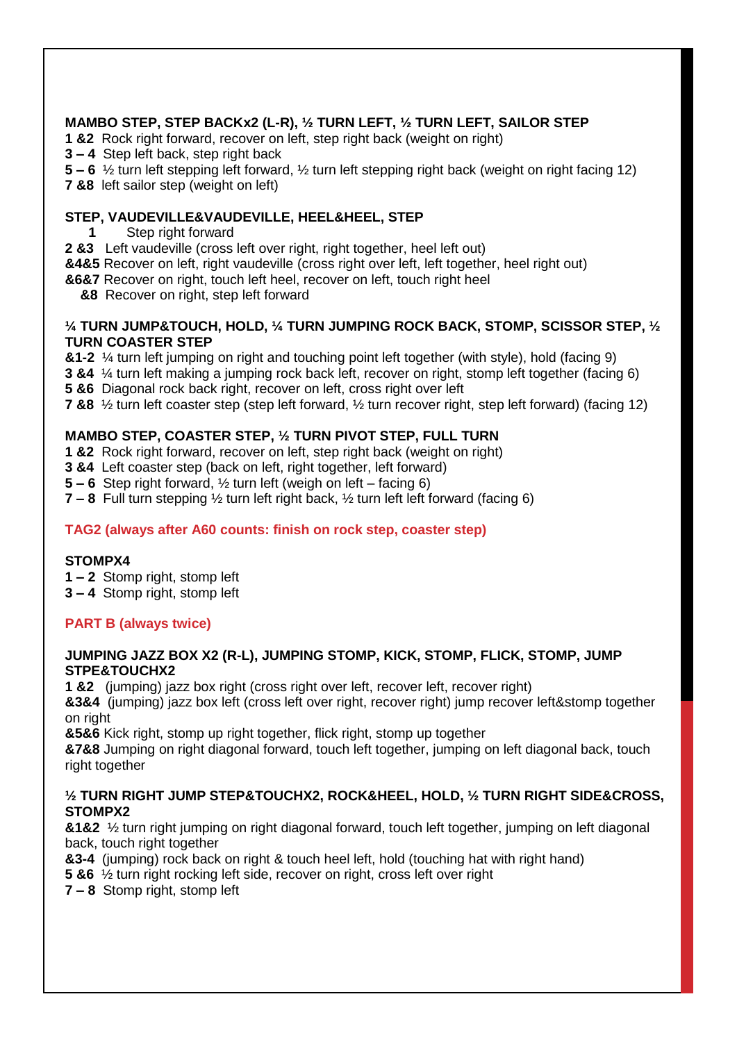# **MAMBO STEP, STEP BACKx2 (L-R), ½ TURN LEFT, ½ TURN LEFT, SAILOR STEP**

- **1 &2** Rock right forward, recover on left, step right back (weight on right)
- **3 – 4** Step left back, step right back
- **5 – 6** ½ turn left stepping left forward, ½ turn left stepping right back (weight on right facing 12)
- **7 &8** left sailor step (weight on left)

## **STEP, VAUDEVILLE&VAUDEVILLE, HEEL&HEEL, STEP**

- **1** Step right forward
- **2 &3** Left vaudeville (cross left over right, right together, heel left out)
- **&4&5** Recover on left, right vaudeville (cross right over left, left together, heel right out)
- **&6&7** Recover on right, touch left heel, recover on left, touch right heel
	- **&8** Recover on right, step left forward

#### **¼ TURN JUMP&TOUCH, HOLD, ¼ TURN JUMPING ROCK BACK, STOMP, SCISSOR STEP, ½ TURN COASTER STEP**

**&1-2** ¼ turn left jumping on right and touching point left together (with style), hold (facing 9)

- **3 &4** ¼ turn left making a jumping rock back left, recover on right, stomp left together (facing 6)
- **5 &6** Diagonal rock back right, recover on left, cross right over left
- **7 &8** ½ turn left coaster step (step left forward, ½ turn recover right, step left forward) (facing 12)

# **MAMBO STEP, COASTER STEP, ½ TURN PIVOT STEP, FULL TURN**

- **1 &2** Rock right forward, recover on left, step right back (weight on right)
- **3 &4** Left coaster step (back on left, right together, left forward)
- **5 – 6** Step right forward, ½ turn left (weigh on left facing 6)
- **7 – 8** Full turn stepping ½ turn left right back, ½ turn left left forward (facing 6)

# **TAG2 (always after A60 counts: finish on rock step, coaster step)**

# **STOMPX4**

- **1 – 2** Stomp right, stomp left
- **3 – 4** Stomp right, stomp left

# **PART B (always twice)**

#### **JUMPING JAZZ BOX X2 (R-L), JUMPING STOMP, KICK, STOMP, FLICK, STOMP, JUMP STPE&TOUCHX2**

**1 &2** (jumping) jazz box right (cross right over left, recover left, recover right)

**&3&4** (jumping) jazz box left (cross left over right, recover right) jump recover left&stomp together on right

**&5&6** Kick right, stomp up right together, flick right, stomp up together

**&7&8** Jumping on right diagonal forward, touch left together, jumping on left diagonal back, touch right together

## **½ TURN RIGHT JUMP STEP&TOUCHX2, ROCK&HEEL, HOLD, ½ TURN RIGHT SIDE&CROSS, STOMPX2**

**&1&2** ½ turn right jumping on right diagonal forward, touch left together, jumping on left diagonal back, touch right together

- **&3-4** (jumping) rock back on right & touch heel left, hold (touching hat with right hand)
- **5 &6** ½ turn right rocking left side, recover on right, cross left over right
- **7 – 8** Stomp right, stomp left